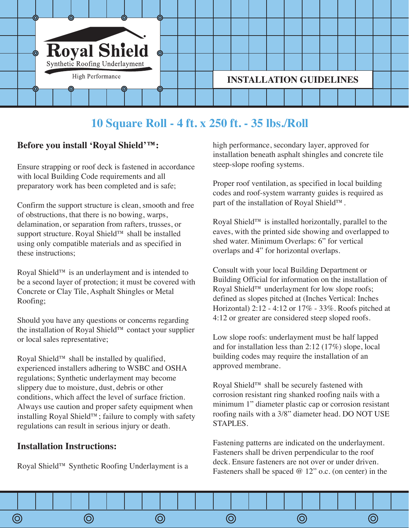

# **10 Square Roll - 4 ft. x 250 ft. - 35 lbs./Roll**

### **Before you install 'Royal Shield'™:**

Ensure strapping or roof deck is fastened in accordance with local Building Code requirements and all preparatory work has been completed and is safe;

Confirm the support structure is clean, smooth and free of obstructions, that there is no bowing, warps, delamination, or separation from rafters, trusses, or support structure. Royal Shield™ shall be installed using only compatible materials and as specified in these instructions;

Royal Shield™ is an underlayment and is intended to be a second layer of protection; it must be covered with Concrete or Clay Tile, Asphalt Shingles or Metal Roofing;

Should you have any questions or concerns regarding the installation of Royal Shield™ contact your supplier or local sales representative;

Royal Shield™ shall be installed by qualified, experienced installers adhering to WSBC and OSHA regulations; Synthetic underlayment may become slippery due to moisture, dust, debris or other conditions, which affect the level of surface friction. Always use caution and proper safety equipment when installing Royal Shield™; failure to comply with safety regulations can result in serious injury or death.

#### **Installation Instructions:**

Royal Shield™ Synthetic Roofing Underlayment is a

high performance, secondary layer, approved for installation beneath asphalt shingles and concrete tile steep-slope roofing systems.

Proper roof ventilation, as specified in local building codes and roof-system warranty guides is required as part of the installation of Royal Shield™.

Royal Shield™ is installed horizontally, parallel to the eaves, with the printed side showing and overlapped to shed water. Minimum Overlaps: 6" for vertical overlaps and 4" for horizontal overlaps.

Consult with your local Building Department or Building Official for information on the installation of Royal Shield™ underlayment for low slope roofs; defined as slopes pitched at (Inches Vertical: Inches Horizontal) 2:12 - 4:12 or 17% - 33%. Roofs pitched at 4:12 or greater are considered steep sloped roofs.

Low slope roofs: underlayment must be half lapped and for installation less than 2:12 (17%) slope, local building codes may require the installation of an approved membrane.

Royal Shield™ shall be securely fastened with corrosion resistant ring shanked roofing nails with a minimum 1" diameter plastic cap or corrosion resistant roofing nails with a 3/8" diameter head. DO NOT USE STAPLES.

Fastening patterns are indicated on the underlayment. Fasteners shall be driven perpendicular to the roof deck. Ensure fasteners are not over or under driven. Fasteners shall be spaced  $@ 12"$  o.c. (on center) in the